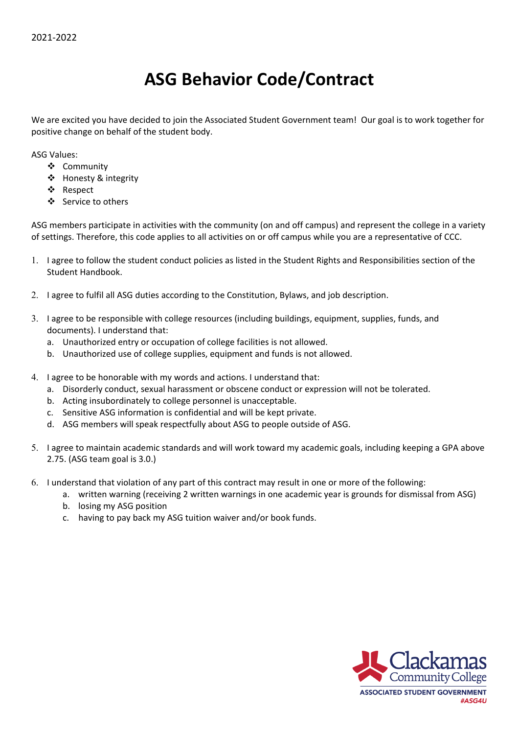## **ASG Behavior Code/Contract**

We are excited you have decided to join the Associated Student Government team! Our goal is to work together for positive change on behalf of the student body.

ASG Values:

- Community
- ❖ Honesty & integrity
- Respect
- Service to others

ASG members participate in activities with the community (on and off campus) and represent the college in a variety of settings. Therefore, this code applies to all activities on or off campus while you are a representative of CCC.

- 1. I agree to follow the student conduct policies as listed in the Student Rights and Responsibilities section of the Student Handbook.
- 2. I agree to fulfil all ASG duties according to the Constitution, Bylaws, and job description.
- 3. I agree to be responsible with college resources (including buildings, equipment, supplies, funds, and documents). I understand that:
	- a. Unauthorized entry or occupation of college facilities is not allowed.
	- b. Unauthorized use of college supplies, equipment and funds is not allowed.
- 4. I agree to be honorable with my words and actions. I understand that:
	- a. Disorderly conduct, sexual harassment or obscene conduct or expression will not be tolerated.
	- b. Acting insubordinately to college personnel is unacceptable.
	- c. Sensitive ASG information is confidential and will be kept private.
	- d. ASG members will speak respectfully about ASG to people outside of ASG.
- 5. I agree to maintain academic standards and will work toward my academic goals, including keeping a GPA above 2.75. (ASG team goal is 3.0.)
- 6. I understand that violation of any part of this contract may result in one or more of the following:
	- a. written warning (receiving 2 written warnings in one academic year is grounds for dismissal from ASG)
	- b. losing my ASG position
	- c. having to pay back my ASG tuition waiver and/or book funds.